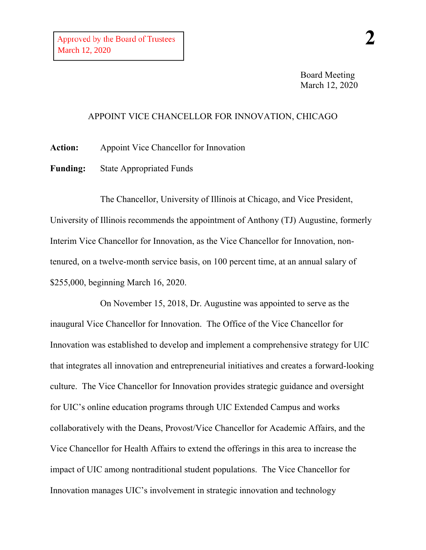Board Meeting March 12, 2020

## APPOINT VICE CHANCELLOR FOR INNOVATION, CHICAGO

**Action:** Appoint Vice Chancellor for Innovation

**Funding:** State Appropriated Funds

The Chancellor, University of Illinois at Chicago, and Vice President, University of Illinois recommends the appointment of Anthony (TJ) Augustine, formerly Interim Vice Chancellor for Innovation, as the Vice Chancellor for Innovation, nontenured, on a twelve-month service basis, on 100 percent time, at an annual salary of \$255,000, beginning March 16, 2020.

On November 15, 2018, Dr. Augustine was appointed to serve as the inaugural Vice Chancellor for Innovation. The Office of the Vice Chancellor for Innovation was established to develop and implement a comprehensive strategy for UIC that integrates all innovation and entrepreneurial initiatives and creates a forward-looking culture. The Vice Chancellor for Innovation provides strategic guidance and oversight for UIC's online education programs through UIC Extended Campus and works collaboratively with the Deans, Provost/Vice Chancellor for Academic Affairs, and the Vice Chancellor for Health Affairs to extend the offerings in this area to increase the impact of UIC among nontraditional student populations. The Vice Chancellor for Innovation manages UIC's involvement in strategic innovation and technology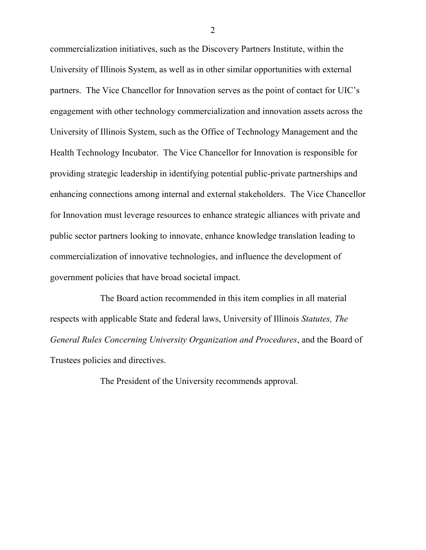commercialization initiatives, such as the Discovery Partners Institute, within the University of Illinois System, as well as in other similar opportunities with external partners. The Vice Chancellor for Innovation serves as the point of contact for UIC's engagement with other technology commercialization and innovation assets across the University of Illinois System, such as the Office of Technology Management and the Health Technology Incubator. The Vice Chancellor for Innovation is responsible for providing strategic leadership in identifying potential public-private partnerships and enhancing connections among internal and external stakeholders. The Vice Chancellor for Innovation must leverage resources to enhance strategic alliances with private and public sector partners looking to innovate, enhance knowledge translation leading to commercialization of innovative technologies, and influence the development of government policies that have broad societal impact.

The Board action recommended in this item complies in all material respects with applicable State and federal laws, University of Illinois *Statutes, The General Rules Concerning University Organization and Procedures*, and the Board of Trustees policies and directives.

The President of the University recommends approval.

2